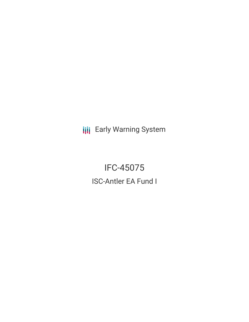**III** Early Warning System

IFC-45075 ISC-Antler EA Fund I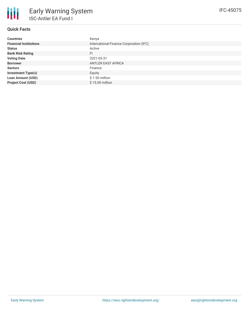

# **Quick Facts**

| <b>Countries</b>              | Kenya                                   |
|-------------------------------|-----------------------------------------|
| <b>Financial Institutions</b> | International Finance Corporation (IFC) |
| <b>Status</b>                 | Active                                  |
| <b>Bank Risk Rating</b>       | FI.                                     |
| <b>Voting Date</b>            | 2021-03-31                              |
| <b>Borrower</b>               | <b>ANTLER EAST AFRICA</b>               |
| <b>Sectors</b>                | Finance                                 |
| <b>Investment Type(s)</b>     | Equity                                  |
| <b>Loan Amount (USD)</b>      | $$1.50$ million                         |
| <b>Project Cost (USD)</b>     | \$15.00 million                         |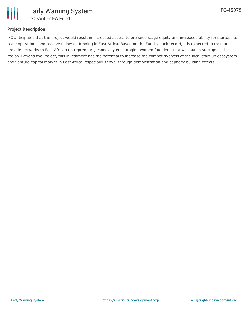

## **Project Description**

IFC anticipates that the project would result in increased access to pre-seed stage equity and increased ability for startups to scale operations and receive follow-on funding in East Africa. Based on the Fund's track record, it is expected to train and provide networks to East African entrepreneurs, especially encouraging women founders, that will launch startups in the region. Beyond the Project, this investment has the potential to increase the competitiveness of the local start-up ecosystem and venture capital market in East Africa, especially Kenya, through demonstration and capacity building effects.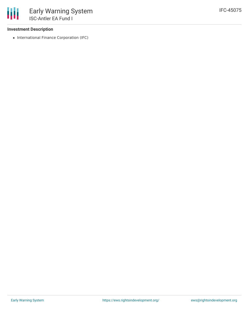### **Investment Description**

• International Finance Corporation (IFC)